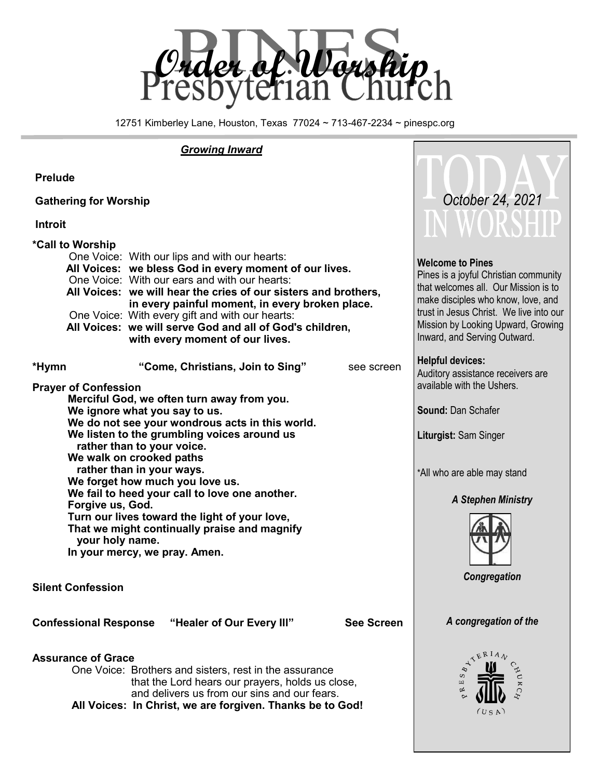

12751 Kimberley Lane, Houston, Texas 77024 ~ 713-467-2234 ~ pinespc.org

 $\bigcap$ 

#### *Growing Inward*

| <b>Prelude</b>                                                                                                                                                                                                                                                                                                                                                                                                                                                                                                                                                    |                                                                                                                                                                                                                                                                                                                                                                                                                                  |                                                                                                                                                              |                                                                                                                                                                                                                                                                 |
|-------------------------------------------------------------------------------------------------------------------------------------------------------------------------------------------------------------------------------------------------------------------------------------------------------------------------------------------------------------------------------------------------------------------------------------------------------------------------------------------------------------------------------------------------------------------|----------------------------------------------------------------------------------------------------------------------------------------------------------------------------------------------------------------------------------------------------------------------------------------------------------------------------------------------------------------------------------------------------------------------------------|--------------------------------------------------------------------------------------------------------------------------------------------------------------|-----------------------------------------------------------------------------------------------------------------------------------------------------------------------------------------------------------------------------------------------------------------|
| <b>Gathering for Worship</b>                                                                                                                                                                                                                                                                                                                                                                                                                                                                                                                                      |                                                                                                                                                                                                                                                                                                                                                                                                                                  |                                                                                                                                                              | October 24, 2021                                                                                                                                                                                                                                                |
| <b>Introit</b>                                                                                                                                                                                                                                                                                                                                                                                                                                                                                                                                                    |                                                                                                                                                                                                                                                                                                                                                                                                                                  |                                                                                                                                                              | IN WORSHIP                                                                                                                                                                                                                                                      |
| *Call to Worship                                                                                                                                                                                                                                                                                                                                                                                                                                                                                                                                                  | One Voice: With our lips and with our hearts:<br>All Voices: we bless God in every moment of our lives.<br>One Voice: With our ears and with our hearts:<br>All Voices: we will hear the cries of our sisters and brothers,<br>in every painful moment, in every broken place.<br>One Voice: With every gift and with our hearts:<br>All Voices: we will serve God and all of God's children,<br>with every moment of our lives. |                                                                                                                                                              | <b>Welcome to Pines</b><br>Pines is a joyful Christian community<br>that welcomes all. Our Mission is to<br>make disciples who know, love, and<br>trust in Jesus Christ. We live into our<br>Mission by Looking Upward, Growing<br>Inward, and Serving Outward. |
| *Hymn                                                                                                                                                                                                                                                                                                                                                                                                                                                                                                                                                             | "Come, Christians, Join to Sing"                                                                                                                                                                                                                                                                                                                                                                                                 | see screen                                                                                                                                                   | <b>Helpful devices:</b><br>Auditory assistance receivers are                                                                                                                                                                                                    |
| <b>Prayer of Confession</b><br>Merciful God, we often turn away from you.<br>We ignore what you say to us.<br>We do not see your wondrous acts in this world.<br>We listen to the grumbling voices around us<br>rather than to your voice.<br>We walk on crooked paths<br>rather than in your ways.<br>We forget how much you love us.<br>We fail to heed your call to love one another.<br>Forgive us, God.<br>Turn our lives toward the light of your love,<br>That we might continually praise and magnify<br>your holy name.<br>In your mercy, we pray. Amen. |                                                                                                                                                                                                                                                                                                                                                                                                                                  | available with the Ushers.<br><b>Sound: Dan Schafer</b><br>Liturgist: Sam Singer<br>*All who are able may stand<br><b>A Stephen Ministry</b><br>Congregation |                                                                                                                                                                                                                                                                 |
| <b>Silent Confession</b>                                                                                                                                                                                                                                                                                                                                                                                                                                                                                                                                          |                                                                                                                                                                                                                                                                                                                                                                                                                                  |                                                                                                                                                              |                                                                                                                                                                                                                                                                 |
| <b>Confessional Response</b>                                                                                                                                                                                                                                                                                                                                                                                                                                                                                                                                      | "Healer of Our Every III"                                                                                                                                                                                                                                                                                                                                                                                                        | <b>See Screen</b>                                                                                                                                            | A congregation of the                                                                                                                                                                                                                                           |
| <b>Assurance of Grace</b><br>One Voice: Brothers and sisters, rest in the assurance<br>that the Lord hears our prayers, holds us close,<br>and delivers us from our sins and our fears.<br>All Voices: In Christ, we are forgiven. Thanks be to God!                                                                                                                                                                                                                                                                                                              |                                                                                                                                                                                                                                                                                                                                                                                                                                  |                                                                                                                                                              | YERIAN<br>$\mu$<br>(USA)                                                                                                                                                                                                                                        |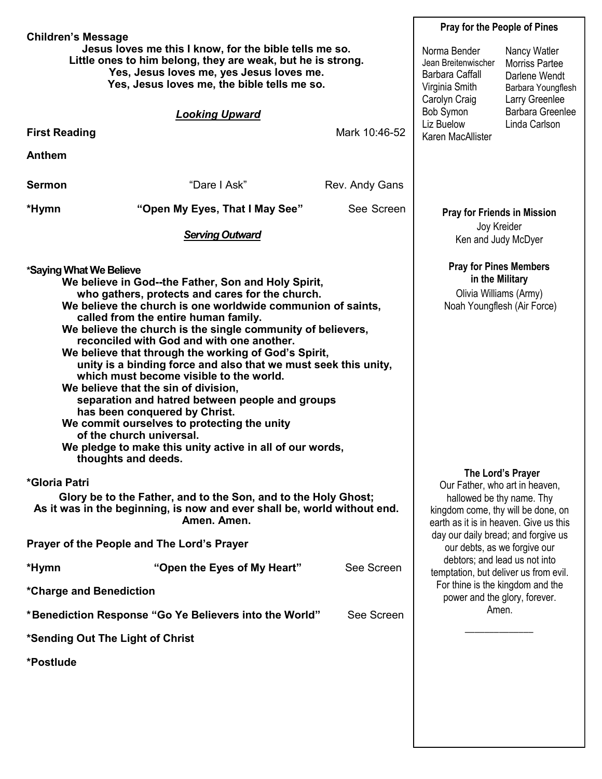| <b>Children's Message</b>                                                                                                                                                                                                                                                                                                                                                                                                                                                                                                                                                                                                                                                                                                                                                                                            | <b>Pray for the People of Pines</b>                                                                                                                                                                     |                |                                                                                                  |                                                                                                |  |
|----------------------------------------------------------------------------------------------------------------------------------------------------------------------------------------------------------------------------------------------------------------------------------------------------------------------------------------------------------------------------------------------------------------------------------------------------------------------------------------------------------------------------------------------------------------------------------------------------------------------------------------------------------------------------------------------------------------------------------------------------------------------------------------------------------------------|---------------------------------------------------------------------------------------------------------------------------------------------------------------------------------------------------------|----------------|--------------------------------------------------------------------------------------------------|------------------------------------------------------------------------------------------------|--|
| Jesus loves me this I know, for the bible tells me so.<br>Little ones to him belong, they are weak, but he is strong.<br>Yes, Jesus loves me, yes Jesus loves me.<br>Yes, Jesus loves me, the bible tells me so.                                                                                                                                                                                                                                                                                                                                                                                                                                                                                                                                                                                                     |                                                                                                                                                                                                         |                | Norma Bender<br>Jean Breitenwischer<br><b>Barbara Caffall</b><br>Virginia Smith<br>Carolyn Craig | Nancy Watler<br><b>Morriss Partee</b><br>Darlene Wendt<br>Barbara Youngflesh<br>Larry Greenlee |  |
|                                                                                                                                                                                                                                                                                                                                                                                                                                                                                                                                                                                                                                                                                                                                                                                                                      | <b>Looking Upward</b>                                                                                                                                                                                   |                | Bob Symon<br>Liz Buelow                                                                          | Barbara Greenlee<br>Linda Carlson                                                              |  |
| <b>First Reading</b>                                                                                                                                                                                                                                                                                                                                                                                                                                                                                                                                                                                                                                                                                                                                                                                                 |                                                                                                                                                                                                         | Mark 10:46-52  | Karen MacAllister                                                                                |                                                                                                |  |
| <b>Anthem</b>                                                                                                                                                                                                                                                                                                                                                                                                                                                                                                                                                                                                                                                                                                                                                                                                        |                                                                                                                                                                                                         |                |                                                                                                  |                                                                                                |  |
| <b>Sermon</b>                                                                                                                                                                                                                                                                                                                                                                                                                                                                                                                                                                                                                                                                                                                                                                                                        | "Dare I Ask"                                                                                                                                                                                            | Rev. Andy Gans |                                                                                                  |                                                                                                |  |
| *Hymn                                                                                                                                                                                                                                                                                                                                                                                                                                                                                                                                                                                                                                                                                                                                                                                                                | "Open My Eyes, That I May See"                                                                                                                                                                          | See Screen     | <b>Pray for Friends in Mission</b>                                                               |                                                                                                |  |
|                                                                                                                                                                                                                                                                                                                                                                                                                                                                                                                                                                                                                                                                                                                                                                                                                      | <b>Serving Outward</b>                                                                                                                                                                                  |                | Joy Kreider<br>Ken and Judy McDyer                                                               |                                                                                                |  |
| *Saying What We Believe<br>We believe in God--the Father, Son and Holy Spirit,<br>who gathers, protects and cares for the church.<br>We believe the church is one worldwide communion of saints,<br>called from the entire human family.<br>We believe the church is the single community of believers,<br>reconciled with God and with one another.<br>We believe that through the working of God's Spirit,<br>unity is a binding force and also that we must seek this unity,<br>which must become visible to the world.<br>We believe that the sin of division,<br>separation and hatred between people and groups<br>has been conquered by Christ.<br>We commit ourselves to protecting the unity<br>of the church universal.<br>We pledge to make this unity active in all of our words,<br>thoughts and deeds. | <b>Pray for Pines Members</b><br>in the Military<br>Olivia Williams (Army)<br>Noah Youngflesh (Air Force)                                                                                               |                |                                                                                                  |                                                                                                |  |
| *Gloria Patri<br>Glory be to the Father, and to the Son, and to the Holy Ghost;<br>As it was in the beginning, is now and ever shall be, world without end.                                                                                                                                                                                                                                                                                                                                                                                                                                                                                                                                                                                                                                                          | The Lord's Prayer<br>Our Father, who art in heaven,<br>hallowed be thy name. Thy<br>kingdom come, thy will be done, on<br>earth as it is in heaven. Give us this<br>day our daily bread; and forgive us |                |                                                                                                  |                                                                                                |  |
| Prayer of the People and The Lord's Prayer                                                                                                                                                                                                                                                                                                                                                                                                                                                                                                                                                                                                                                                                                                                                                                           |                                                                                                                                                                                                         |                | our debts, as we forgive our                                                                     |                                                                                                |  |
| *Hymn                                                                                                                                                                                                                                                                                                                                                                                                                                                                                                                                                                                                                                                                                                                                                                                                                | "Open the Eyes of My Heart"                                                                                                                                                                             | See Screen     | debtors; and lead us not into<br>temptation, but deliver us from evil.                           |                                                                                                |  |
| For thine is the kingdom and the<br>*Charge and Benediction<br>power and the glory, forever.                                                                                                                                                                                                                                                                                                                                                                                                                                                                                                                                                                                                                                                                                                                         |                                                                                                                                                                                                         |                |                                                                                                  |                                                                                                |  |
| *Benediction Response "Go Ye Believers into the World"<br>See Screen                                                                                                                                                                                                                                                                                                                                                                                                                                                                                                                                                                                                                                                                                                                                                 |                                                                                                                                                                                                         |                |                                                                                                  | Amen.                                                                                          |  |
| *Sending Out The Light of Christ                                                                                                                                                                                                                                                                                                                                                                                                                                                                                                                                                                                                                                                                                                                                                                                     |                                                                                                                                                                                                         |                |                                                                                                  |                                                                                                |  |
| *Postlude                                                                                                                                                                                                                                                                                                                                                                                                                                                                                                                                                                                                                                                                                                                                                                                                            |                                                                                                                                                                                                         |                |                                                                                                  |                                                                                                |  |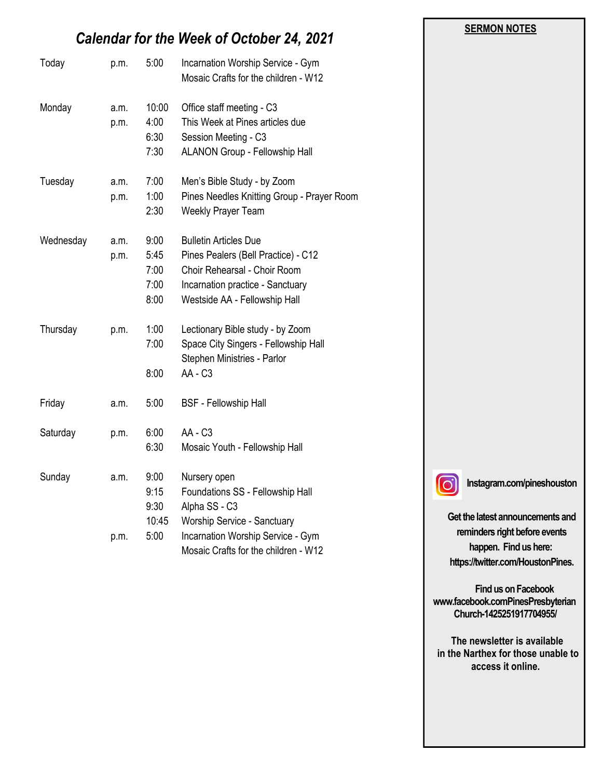# *Calendar for the Week of October 24, 2021*

| Today     | p.m.         | 5:00                                 | Incarnation Worship Service - Gym<br>Mosaic Crafts for the children - W12                                                                                                |
|-----------|--------------|--------------------------------------|--------------------------------------------------------------------------------------------------------------------------------------------------------------------------|
| Monday    | a.m.<br>p.m. | 10:00<br>4:00<br>6:30<br>7:30        | Office staff meeting - C3<br>This Week at Pines articles due<br>Session Meeting - C3<br><b>ALANON Group - Fellowship Hall</b>                                            |
| Tuesday   | a.m.<br>p.m. | 7:00<br>1:00<br>2:30                 | Men's Bible Study - by Zoom<br>Pines Needles Knitting Group - Prayer Room<br>Weekly Prayer Team                                                                          |
| Wednesday | a.m.<br>p.m. | 9:00<br>5:45<br>7:00<br>7:00<br>8:00 | <b>Bulletin Articles Due</b><br>Pines Pealers (Bell Practice) - C12<br>Choir Rehearsal - Choir Room<br>Incarnation practice - Sanctuary<br>Westside AA - Fellowship Hall |
| Thursday  | p.m.         | 1:00<br>7:00<br>8:00                 | Lectionary Bible study - by Zoom<br>Space City Singers - Fellowship Hall<br>Stephen Ministries - Parlor<br>AA - C3                                                       |
| Friday    | a.m.         | 5:00                                 | <b>BSF - Fellowship Hall</b>                                                                                                                                             |
| Saturday  | p.m.         | 6:00<br>6:30                         | <b>AA - C3</b><br>Mosaic Youth - Fellowship Hall                                                                                                                         |
| Sunday    | a.m.         | 9:00<br>9:15<br>9:30<br>10:45        | Nursery open<br>Foundations SS - Fellowship Hall<br>Alpha SS - C3<br>Worship Service - Sanctuary                                                                         |
|           | p.m.         | 5:00                                 | Incarnation Worship Service - Gym<br>Mosaic Crafts for the children - W12                                                                                                |

 $\lbrack \odot \rbrack$ 

**Instagram.com/pineshouston**

**SERMON NOTES** 

**Get the latest announcements and reminders right before events happen. Find us here: https://twitter.com/HoustonPines.** 

 **Find us on Facebook www.facebook.comPinesPresbyterian Church-1425251917704955/**

 **The newsletter is available in the Narthex for those unable to access it online.**